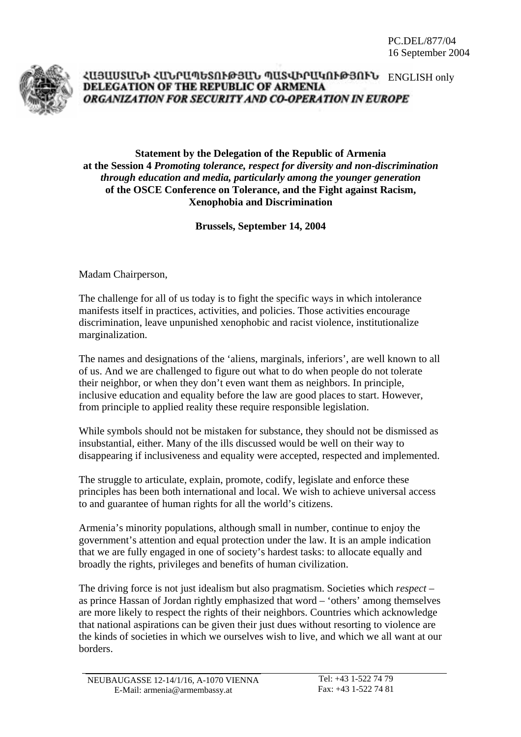

## ՀԱՅԱՍՏԱՆԻ ՀԱՆՐԱՊԵՏՈՒԹՅԱՆ ՊԱՏՎԻՐԱԿՈՒԹՅՈՒՆ ENGLISH only DELEGATION OF THE REPUBLIC OF ARMENIA ORGANIZATION FOR SECURITY AND CO-OPERATION IN EUROPE

## **Statement by the Delegation of the Republic of Armenia at the Session 4** *Promoting tolerance, respect for diversity and non-discrimination through education and media, particularly among the younger generation* **of the OSCE Conference on Tolerance, and the Fight against Racism, Xenophobia and Discrimination**

**Brussels, September 14, 2004** 

Madam Chairperson,

The challenge for all of us today is to fight the specific ways in which intolerance manifests itself in practices, activities, and policies. Those activities encourage discrimination, leave unpunished xenophobic and racist violence, institutionalize marginalization.

The names and designations of the 'aliens, marginals, inferiors', are well known to all of us. And we are challenged to figure out what to do when people do not tolerate their neighbor, or when they don't even want them as neighbors. In principle, inclusive education and equality before the law are good places to start. However, from principle to applied reality these require responsible legislation.

While symbols should not be mistaken for substance, they should not be dismissed as insubstantial, either. Many of the ills discussed would be well on their way to disappearing if inclusiveness and equality were accepted, respected and implemented.

The struggle to articulate, explain, promote, codify, legislate and enforce these principles has been both international and local. We wish to achieve universal access to and guarantee of human rights for all the world's citizens.

Armenia's minority populations, although small in number, continue to enjoy the government's attention and equal protection under the law. It is an ample indication that we are fully engaged in one of society's hardest tasks: to allocate equally and broadly the rights, privileges and benefits of human civilization.

The driving force is not just idealism but also pragmatism. Societies which *respect* – as prince Hassan of Jordan rightly emphasized that word – 'others' among themselves are more likely to respect the rights of their neighbors. Countries which acknowledge that national aspirations can be given their just dues without resorting to violence are the kinds of societies in which we ourselves wish to live, and which we all want at our borders.